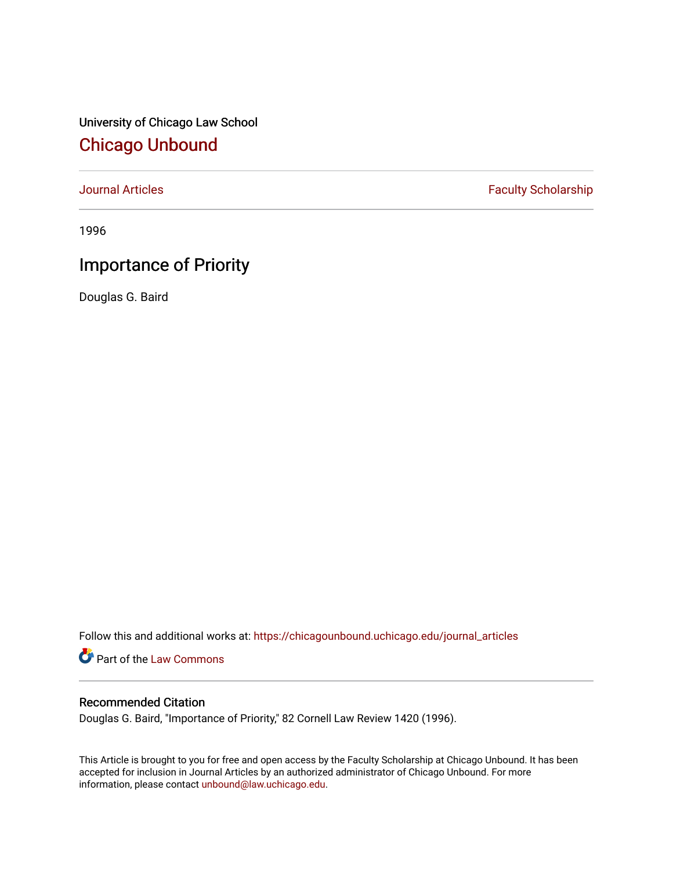University of Chicago Law School [Chicago Unbound](https://chicagounbound.uchicago.edu/)

[Journal Articles](https://chicagounbound.uchicago.edu/journal_articles) **Faculty Scholarship Faculty Scholarship** 

1996

# Importance of Priority

Douglas G. Baird

Follow this and additional works at: [https://chicagounbound.uchicago.edu/journal\\_articles](https://chicagounbound.uchicago.edu/journal_articles?utm_source=chicagounbound.uchicago.edu%2Fjournal_articles%2F1033&utm_medium=PDF&utm_campaign=PDFCoverPages) 

Part of the [Law Commons](http://network.bepress.com/hgg/discipline/578?utm_source=chicagounbound.uchicago.edu%2Fjournal_articles%2F1033&utm_medium=PDF&utm_campaign=PDFCoverPages)

## Recommended Citation

Douglas G. Baird, "Importance of Priority," 82 Cornell Law Review 1420 (1996).

This Article is brought to you for free and open access by the Faculty Scholarship at Chicago Unbound. It has been accepted for inclusion in Journal Articles by an authorized administrator of Chicago Unbound. For more information, please contact [unbound@law.uchicago.edu](mailto:unbound@law.uchicago.edu).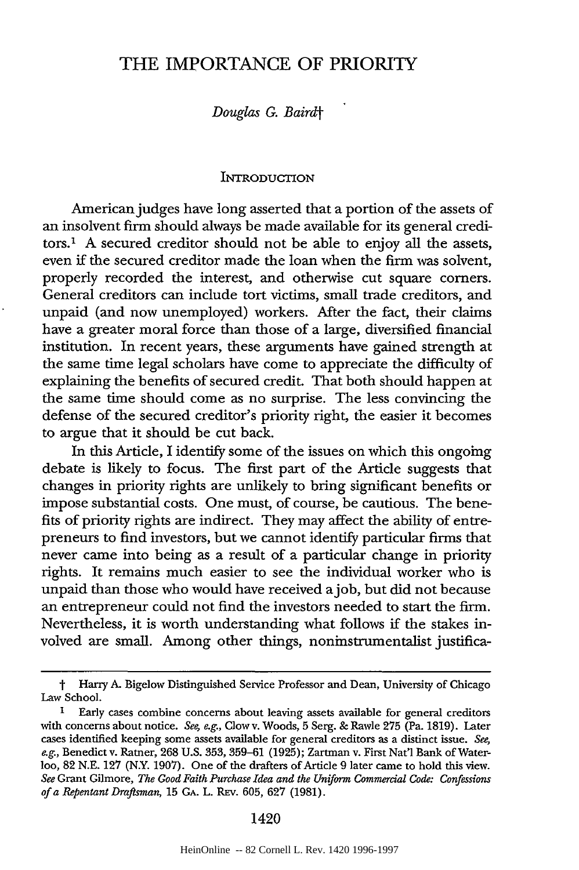# THE IMPORTANCE OF PRIORITY

*Douglas G. Bairdt*

#### INTRODUCTION

American judges have long asserted that a portion of the assets of an insolvent firm should always be made available for its general creditors.1 A secured creditor should not be able to enjoy all the assets, even if the secured creditor made the loan when the firm was solvent, properly recorded the interest, and otherwise cut square corners. General creditors can include tort victims, small trade creditors, and unpaid (and now unemployed) workers. After the fact, their claims have a greater moral force than those of a large, diversified financial institution. In recent years, these arguments have gained strength at the same time legal scholars have come to appreciate the difficulty of explaining the benefits of secured credit. That both should happen at the same time should come as no surprise. The less convincing the defense of the secured creditor's priority right, the easier it becomes to argue that it should be cut back.

In this Article, I identify some of the issues on which this ongoing debate is likely to focus. The first part of the Article suggests that changes in priority rights are unlikely to bring significant benefits or impose substantial costs. One must, of course, be cautious. The benefits of priority rights are indirect. They may affect the ability of entrepreneurs to find investors, but we cannot identify particular firms that never came into being as a result of a particular change in priority rights. It remains much easier to see the individual worker who is unpaid than those who would have received ajob, but did not because an entrepreneur could not find the investors needed to start the firm. Nevertheless, it is worth understanding what follows if the stakes involved are small. Among other things, noninstrumentalist justifica-

t Harry **A.** Bigelow Distinguished Service Professor and Dean, University of Chicago Law School.

**<sup>1</sup>** Early cases combine concerns about leaving assets available for general creditors with concerns about notice. *See, e.g.,* Clow v. Woods, 5 Serg. & Rawle **275** (Pa. 1819). Later cases identified keeping some assets available for general creditors as a distinct issue. *See, e.g.,* Benedict v. Ratner, 268 **U.S.** 353, 359-61 (1925); Zartman v. First Natl Bank of Waterloo, 82 N.E. **127** (N.Y. 1907). One of the drafters of Article 9 later came to hold this view. *See* Grant Gilmore, *The Good Faith Purchase Idea and the Uniform Commercial Code: Confessions ofa Repentant Draftsman,* 15 GA. L. REv. 605, 627 (1981).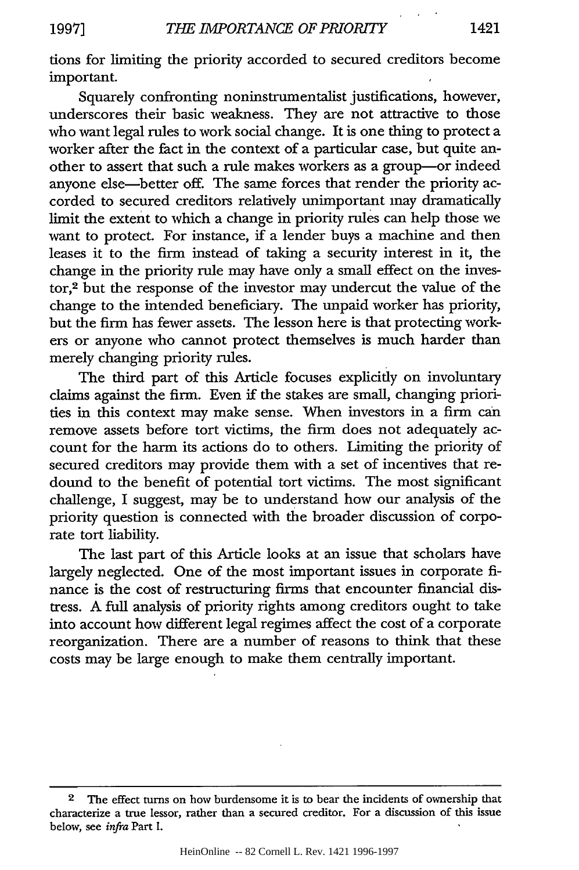tions for limiting the priority accorded to secured creditors become important.

Squarely confronting noninstrumentalist justifications, however, underscores their basic weakness. They are not attractive to those who want legal rules to work social change. It is one thing to protect a worker after the fact in the context of a particular case, but quite another to assert that such a rule makes workers as a group-or indeed anyone else-better off. The same forces that render the priority accorded to secured creditors relatively unimportant may dramatically limit the extent to which a change in priority rules can help those we want to protect. For instance, if a lender buys a machine and then leases it to the firm instead of taking a security interest in it, the change in the priority rule may have only a small effect on the investor,2 but the response of the investor may undercut the value of the change to the intended beneficiary. The unpaid worker has priority, but the firm has fewer assets. The lesson here is that protecting workers or anyone who cannot protect themselves is much harder than merely changing priority rules.

The third part of this Article focuses explicitly on involuntary claims against the firm. Even if the stakes are small, changing priorities in this context may make sense. When investors in a firm can remove assets before tort victims, the firm does not adequately account for the harm its actions do to others. Limiting the priority of secured creditors may provide them with a set of incentives that redound to the benefit of potential tort victims. The most significant challenge, I suggest, may be to understand how our analysis of the priority question is connected with the broader discussion of corporate tort liability.

The last part of this Article looks at an issue that scholars have largely neglected. One of the most important issues in corporate finance is the cost of restructuring firms that encounter financial distress. A full analysis of priority rights among creditors ought to take into account how different legal regimes affect the cost of a corporate reorganization. There are a number of reasons to think that these costs may be large enough to make them centrally important.

**<sup>2</sup>** The effect turns on how burdensome it is to bear the incidents of ownership that characterize a true lessor, rather than a secured creditor. For a discussion of this issue below, see *infra* Part I.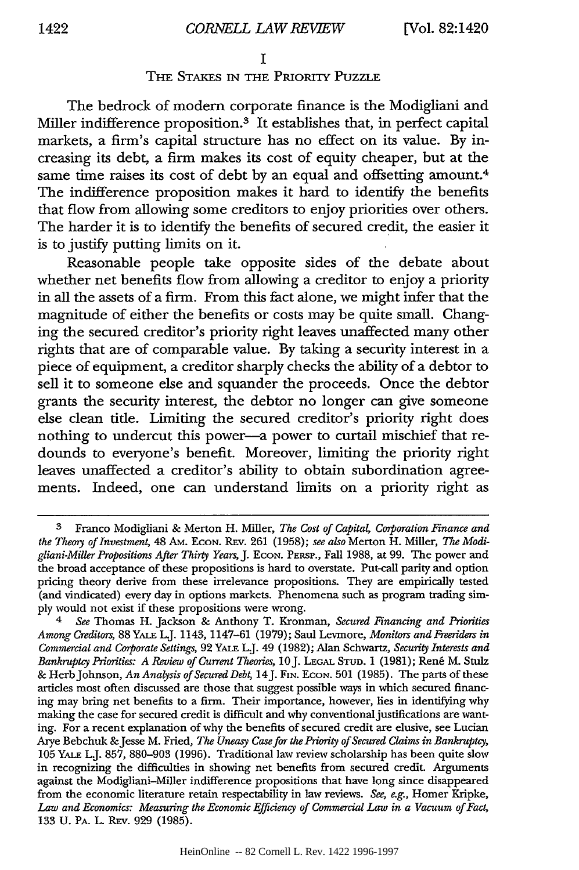#### **I**

## **THE STAKES IN THE PRIORITY PUZZLE**

The bedrock of modem corporate finance is the Modigliani and Miller indifference proposition.<sup>3</sup> It establishes that, in perfect capital markets, a firm's capital structure has no effect on its value. **By** increasing its debt, a firm makes its cost of equity cheaper, but at the same time raises its cost of debt **by** an equal and offsetting amount.4 The indifference proposition makes it hard to identify the benefits that flow from allowing some creditors to enjoy priorities over others. The harder it is to identify the benefits of secured credit, the easier it is to justify putting limits on it.

Reasonable people take opposite sides of the debate about whether net benefits flow from allowing a creditor to enjoy a priority in all the assets of a firm. From this fact alone, we might infer that the magnitude of either the benefits or costs may be quite small. Changing the secured creditor's priority right leaves unaffected many other rights that are of comparable value. **By** taking a security interest in a piece of equipment, a creditor sharply checks the ability of a debtor to sell it to someone else and squander the proceeds. Once the debtor grants the security interest, the debtor no longer can give someone else clean titie. Limiting the secured creditor's priority right does nothing to undercut this power-a power to curtail mischief that redounds to everyone's benefit. Moreover, limiting the priority right leaves unaffected a creditor's ability to obtain subordination agreements. Indeed, one can understand limits on a priority right as

**<sup>3</sup>** Franco Modigliani **&** Merton H. Miller, *The Cost of Capita Corporation Finance and* the Theory of Investment, 48 AM. ECON. REV. 261 (1958); see also Merton H. Miller, The Modi*gliani-Miller Propositions After Thirty Years, J.* **ECON. PERSP.,** Fall **1988,** at **99.** The power and the broad acceptance of these propositions is hard to overstate. Put-call parity and option pricing theory derive from these irrelevance propositions. They are empirically tested (and vindicated) every day in options markets. Phenomena such as program trading sim**ply** would not exist if these propositions were wrong.

*<sup>4</sup> See* Thomas H. Jackson **&** Anthony T. Kronman, *Secured Financing and Priorities Among Creditors,* **88 YALE LJ.** 1143, 1147-61 **(1979);** Saul Levmore, *Monitors and Freeriders in Commercial and Corporate Settings,* **92 YALE** L.J. 49 **(1982);** Alan Schwartz, *Security Interests and Bankruptcy Priorities: A Review of Current Theories, 10 J. LEGAL STUD. 1 (1981); René M. Stulz* **&** HerbJohnson, *An Analysis of Secured Debt,* 14J. **FIN. ECON. 501 (1985).** The parts of these articles most often discussed are those that suggest possible ways in which secured financing may bring net benefits to a firm. Their importance, however, lies in identifying why making the case for secured credit is difficult and why conventional justifications are wanting. For a recent explanation of why the benefits of secured credit are elusive, see Lucian Arye Bebchuk &Jesse M. Fried, *The Uneasy Case for the Priority of Secured Claims in Bankruptcy,* **105 YALE** L.J. **857, 880-903 (1996).** Traditional law review scholarship has been quite slow in recognizing the difficulties in showing net benefits from secured credit. Arguments against the Modigliani-Miller indifference propositions that have long since disappeared from the economic literature retain respectability in law reviews. *See, e.g.,* Homer Kripke, *Law and Economics: Measuring the Economic Efficiency of Commercial Law in a Vacuum of Fact,* **133 U. PA. L.** REv. **929 (1985).**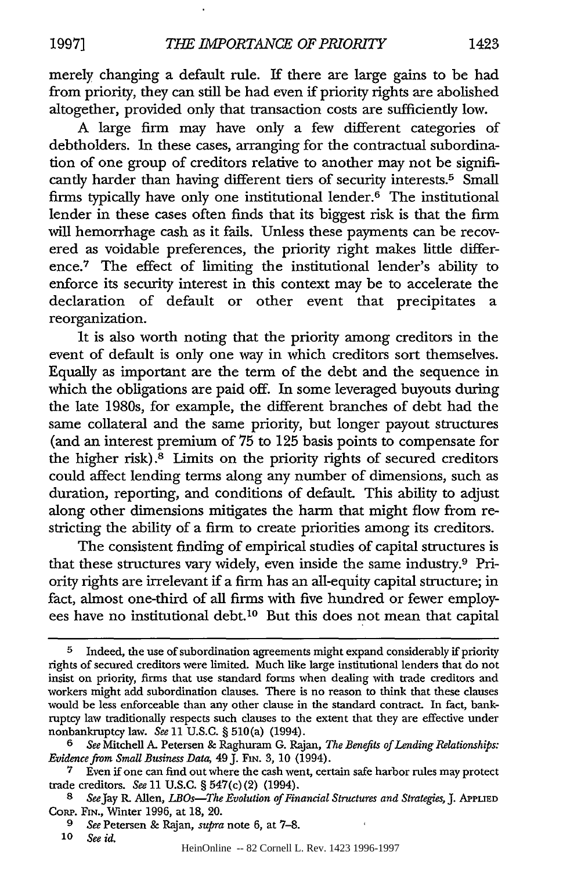merely changing a default rule. If there are large gains to be had from priority, they can still be had even if priority rights are abolished altogether, provided only that transaction costs are sufficiently low.

A large firm may have only a few different categories of debtholders. In these cases, arranging for the contractual subordination of one group of creditors relative to another may not be significantly harder than having different tiers of security interests.<sup>5</sup> Small firms typically have only one institutional lender.6 The institutional lender in these cases often finds that its biggest risk is that the firm will hemorrhage cash as it fails. Unless these payments can be recovered as voidable preferences, the priority right makes little difference.7 The effect of limiting the institutional lender's ability to enforce its security interest in this context may be to accelerate the declaration of default or other event that precipitates a reorganization.

It is also worth noting that the priority among creditors in the event of default is only one way in which creditors sort themselves. Equally as important are the term of the debt and the sequence in which the obligations are paid off. In some leveraged buyouts during the late 1980s, for example, the different branches of debt had the same collateral and the same priority, but longer payout structures (and an interest premium of 75 to 125 basis points to compensate for the higher risk). $8$  Limits on the priority rights of secured creditors could affect lending terms along any number of dimensions, such as duration, reporting, and conditions of default. This ability to adjust along other dimensions mitigates the harm that might flow from restricting the ability of a firm to create priorities among its creditors.

The consistent finding of empirical studies of capital structures is that these structures vary widely, even inside the same industry.9 Priority rights are irrelevant if a firm has an all-equity capital structure; in fact, almost one-third of all firms with five hundred or fewer employees have no institutional debt.10 But this does not mean that capital

**<sup>5</sup>** Indeed, the use of subordination agreements might expand considerably if priority rights of secured creditors were limited. Much like large institutional lenders that do not insist on priority, firms that use standard forms when dealing with trade creditors and workers might add subordination clauses. There is no reason to think that these clauses would be less enforceable than any other clause in the standard contract. In fact, bankruptcy law traditionally respects such clauses to the extent that they are effective under nonbankruptcy law. *See* 11 U.S.C. § 510(a) (1994).

*<sup>6</sup> See* Mitchell **A.** Petersen **&** Raghuram G. Rajan, *The Benefits of Lending Relationships: Evidence from Small Business Data,* 49 J. **FIN.** 3, 10 (1994).

**<sup>7</sup>** Even if one can find out where the cash went, certain safe harbor rules may protect trade creditors. *See* 11 U.S.C. § 547(c) (2) (1994).

**<sup>8</sup>** *SeeJay* R. Allen, *LBOs-The Evolution of Financial Structures and Strategies, J.* APPUIED CoRP. Fin., Winter 1996, at 18, 20.

*<sup>9</sup> See* Petersen & Rajan, *supra* note 6, at 7-8.

*<sup>10</sup> See id.*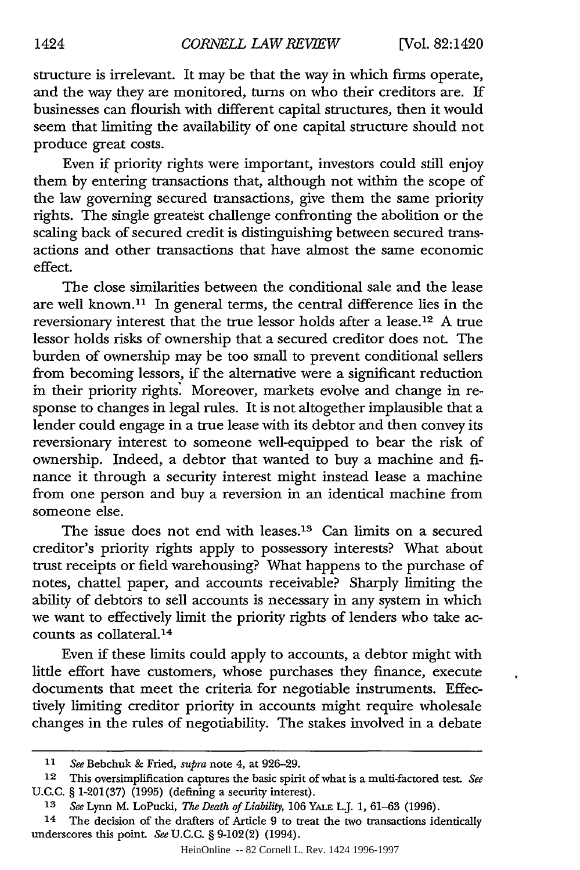structure is irrelevant. It may be that the way in which firms operate, and the way they are monitored, turns on who their creditors are. If businesses can flourish with different capital structures, then it would seem that limiting the availability of one capital structure should not produce great costs.

Even if priority rights were important, investors could still enjoy them by entering transactions that, although not within the scope of the law governing secured transactions, give them the same priority rights. The single greatest challenge confronting the abolition or the scaling back of secured credit is distinguishing between secured transactions and other transactions that have almost the same economic effect.

The close similarities between the conditional sale and the lease are well known.<sup>11</sup> In general terms, the central difference lies in the reversionary interest that the true lessor holds after a lease. 12 A true lessor holds risks of ownership that a secured creditor does not. The burden of ownership may be too small to prevent conditional sellers from becoming lessors, if the alternative were a significant reduction in their priority rights: Moreover, markets evolve and change in response to changes in legal rules. It is not altogether implausible that a lender could engage in a true lease with its debtor and then convey its reversionary interest to someone well-equipped to bear the risk of ownership. Indeed, a debtor that wanted to buy a machine and finance it through a security interest might instead lease a machine from one person and buy a reversion in an identical machine from someone else.

The issue does not end with leases.<sup>13</sup> Can limits on a secured creditor's priority rights apply to possessory interests? What about trust receipts or field warehousing? What happens to the purchase of notes, chattel paper, and accounts receivable? Sharply limiting the ability of debtors to sell accounts is necessary in any system in which we want to effectively limit the priority rights of lenders who take accounts as collateral.<sup>14</sup>

Even if these limits could apply to accounts, a debtor might with little effort have customers, whose purchases they finance, execute documents that meet the criteria for negotiable instruments. Effectively limiting creditor priority in accounts might require wholesale changes in the rules of negotiability. The stakes involved in a debate

**<sup>11</sup>** *See* Bebchuk & Fried, *supra* note 4, at 926-29.

<sup>12</sup> This oversimplification captures the basic spirit of what is a multi-factored test. *See* U.C.C. § 1-201(37) (1995) (defining a security interest).

**<sup>13</sup>** *See* Lynn M. LoPucki, *The Death of Liability,* 106 YALE L.J. 1, 61-63 (1996).

<sup>14</sup> The decision of the drafters of Article 9 to treat the two transactions identically underscores this point. *See* U.C.C. § 9-102(2) (1994).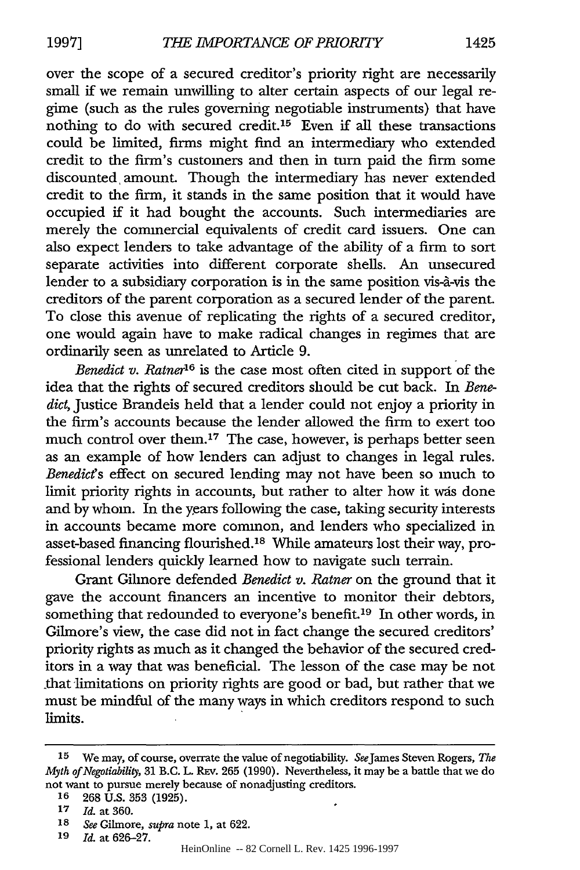over the scope of a secured creditor's priority right are necessarily small if we remain unwilling to alter certain aspects of our legal regime (such as the rules governing negotiable instruments) that have nothing to do with secured credit.<sup>15</sup> Even if all these transactions could be limited, firms might find an intermediary who extended credit to the firm's customers and then in turn paid the firm some discounted, amount. Though the intermediary has never extended credit to the firm, it stands in the same position that it would have occupied if it had bought the accounts. Such intermediaries are merely the commercial equivalents of credit card issuers. One can also expect lenders to take advantage of the ability of a firm to sort separate activities into different corporate shells. An unsecured lender to a subsidiary corporation is in the same position vis- $\hat{a}$ -vis the creditors of the parent corporation as a secured lender of the parent. To close this avenue of replicating the rights of a secured creditor, one would again have to make radical changes in regimes that are ordinarily seen as unrelated to Article 9.

*Benedict v. Ratner'6* is the case most often cited in support of the idea that the rights of secured creditors should be cut back. In *Benedict,* Justice Brandeis held that a lender could not enjoy a priority in the firm's accounts because the lender allowed the firm to exert too much control over them.<sup>17</sup> The case, however, is perhaps better seen as an example of how lenders can adjust to changes in legal rules. *Benedict's* effect on secured lending may not have been so much to limit priority rights in accounts, but rather to alter how it was done and by whom. In the years following the case, taking security interests in accounts became more common, and lenders who specialized in asset-based financing flourished.'8 While amateurs lost their way, professional lenders quickly learned how to navigate such terrain.

Grant Gilmore defended *Benedict v. Ratner* on the ground that it gave the account financers an incentive to monitor their debtors, something that redounded to everyone's benefit.<sup>19</sup> In other words, in Gilmore's view, the case did not in fact change the secured creditors' priority rights as much as it changed the behavior of the secured creditors in a way that was beneficial. The lesson of the case may be not that limitations on priority rights are good or bad, but rather that we must be mindful of the many ways in which creditors respond to such limits.

**<sup>15</sup>** We may, of course, overrate the value of negotiability. SeeJames Steven Rogers, *The Myth of Negotiability,* **31** B.C. L. REv. **265** (1990). Nevertheless, it may be a battle that we do not want to pursue merely because of nonadjusting creditors.

**<sup>16 268</sup>** U.S. **353** (1925).

**<sup>17</sup>** *Id.* at 360.

**<sup>18</sup>** *See* Gilmore, *supra* note 1, at 622.

**<sup>19</sup>** *Id.* at 626-27.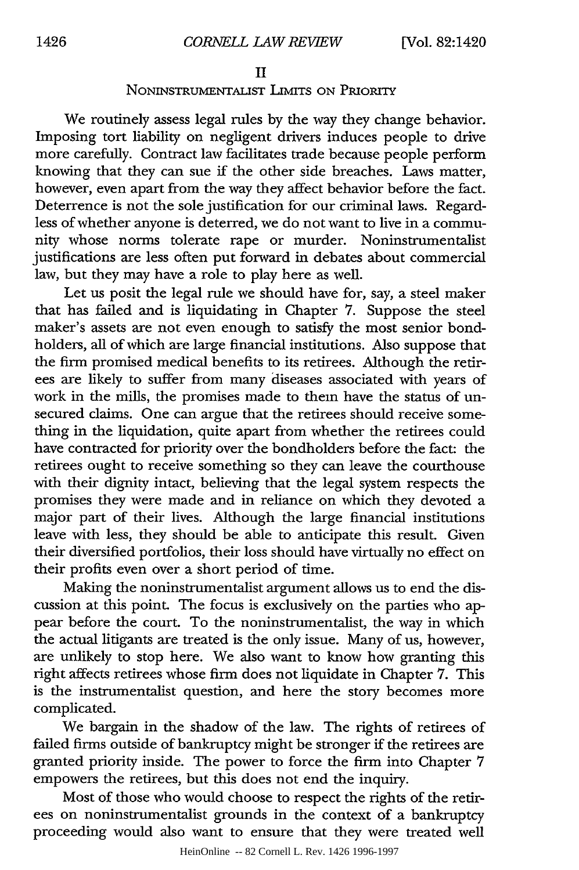## II

## NONINSTRUMENTALIST LIMITS ON PRIORITY

We routinely assess legal rules by the way they change behavior. Imposing tort liability on negligent drivers induces people to drive more carefully. Contract law facilitates trade because people perform knowing that they can sue if the other side breaches. Laws matter, however, even apart from the way they affect behavior before the fact. Deterrence is not the sole justification for our criminal laws. Regardless of whether anyone is deterred, we do not want to live in a community whose norms tolerate rape or murder. Noninstrumentalist justifications are less often put forward in debates about commercial law, but they may have a role to play here as well.

Let us posit the legal rule we should have for, say, a steel maker that has failed and is liquidating in Chapter 7. Suppose the steel maker's assets are not even enough to satisfy the most senior bondholders, all of which are large financial institutions. Also suppose that the firm promised medical benefits to its retirees. Although the retirees are likely to suffer from many diseases associated with years of work in the mills, the promises made to them have the status of unsecured claims. One can argue that the retirees should receive something in the liquidation, quite apart from whether the retirees could have contracted for priority over the bondholders before the fact: the retirees ought to receive something so they can leave the courthouse with their dignity intact, believing that the legal system respects the promises they were made and in reliance on which they devoted a major part of their lives. Although the large financial institutions leave with less, they should be able to anticipate this result. Given their diversified portfolios, their loss should have virtually no effect on their profits even over a short period of time.

Making the noninstrumentalist argument allows us to end the discussion at this point. The focus is exclusively on the parties who appear before the court. To the noninstrumentalist, the way in which the actual litigants are treated is the only issue. Many of us, however, are unlikely to stop here. We also want to know how granting this right affects retirees whose firm does not liquidate in Chapter 7. This is the instrumentalist question, and here the story becomes more complicated.

We bargain in the shadow of the law. The rights of retirees of failed firms outside of bankruptcy might be stronger if the retirees are granted priority inside. The power to force the firm into Chapter 7 empowers the retirees, but this does not end the inquiry.

Most of those who would choose to respect the rights of the retirees on noninstrumentalist grounds in the context of a bankruptcy proceeding would also want to ensure that they were treated well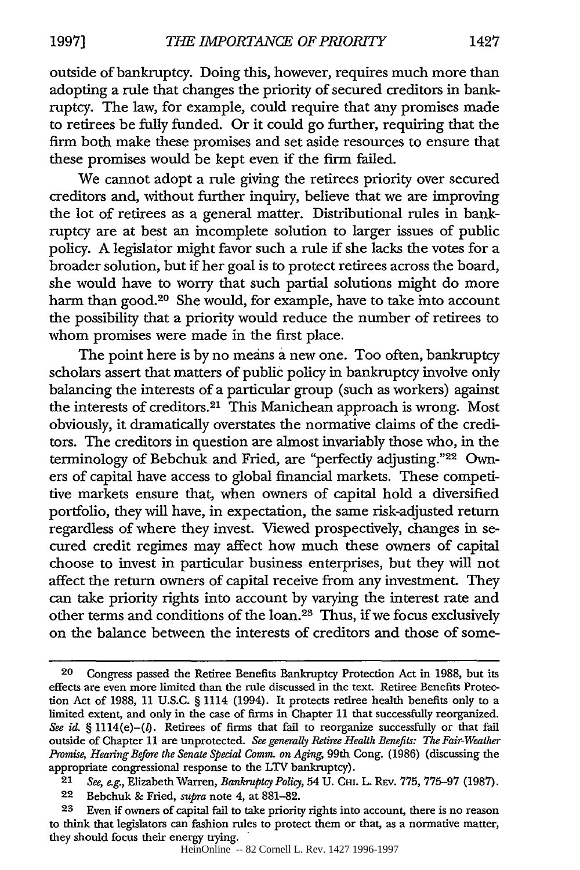outside of bankruptcy. Doing this, however, requires much more than adopting a rule that changes the priority of secured creditors in bankruptcy. The law, for example, could require that any promises made to retirees be fully funded. Or it could go further, requiring that the firm both make these promises and set aside resources to ensure that these promises would be kept even if the firm failed.

We cannot adopt a rule giving the retirees priority over secured creditors and, without further inquiry, believe that we are improving the lot of retirees as a general matter. Distributional rules in bankruptcy are at best an incomplete solution to larger issues of public policy. A legislator might favor such a rule if she lacks the votes for a broader solution, but if her goal is to protect retirees across the board, she would have to worry that such partial solutions might do more harm than good.<sup>20</sup> She would, for example, have to take into account the possibility that a priority would reduce the number of retirees to whom promises were made in the first place.

The point here is by no means a new one. Too often, bankruptcy scholars assert that matters of public policy in bankruptcy involve only balancing the interests of a particular group (such as workers) against the interests of creditors.<sup>21</sup> This Manichean approach is wrong. Most obviously, it dramatically overstates the normative claims of the creditors. The creditors in question are almost invariably those who, in the terminology of Bebchuk and Fried, are "perfectly adjusting."22 Owners of capital have access to global financial markets. These competitive markets ensure that, when owners of capital hold a diversified portfolio, they will have, in expectation, the same risk-adjusted return regardless of where they invest. Viewed prospectively, changes in secured credit regimes may affect how much these owners of capital choose to invest in particular business enterprises, but they will not affect the return owners of capital receive from any investment. They can take priority rights into account by varying the interest rate and other terms and conditions of the loan.23 Thus, if we focus exclusively on the balance between the interests of creditors and those of some-

22 Bebchuk & Fried, *supra* note 4, at 881-82.

**23** Even if owners of capital fail to take priority rights into account, there is no reason to think that legislators can fashion rules to protect them or that, as a normative matter, they should focus their energy trying.

**<sup>20</sup>** Congress passed the Retiree Benefits Bankruptcy Protection Act in 1988, but its effects are even more limited than the rule discussed in the text. Retiree Benefits Protection Act of 1988, 11 U.S.C. § 1114 (1994). It protects retiree health benefits only to a limited extent, and only in the case of firms in Chapter 11 that successfully reorganized. See id. § 1114(e)-(l). Retirees of firms that fail to reorganize successfully or that fail outside of Chapter 11 are unprotected. *See generally Retiree Health Benefits: The Fair-Weather Promise, Hearing Before the Senate Special Comm. on Aging,* 99th Cong. (1986) (discussing the appropriate congressional response to the LTV bankruptcy).

<sup>21</sup> *See, e.g.,* Elizabeth Warren, *Bankruptcy Policy,* 54 U. CMI. L. REv. 775, 775-97 (1987).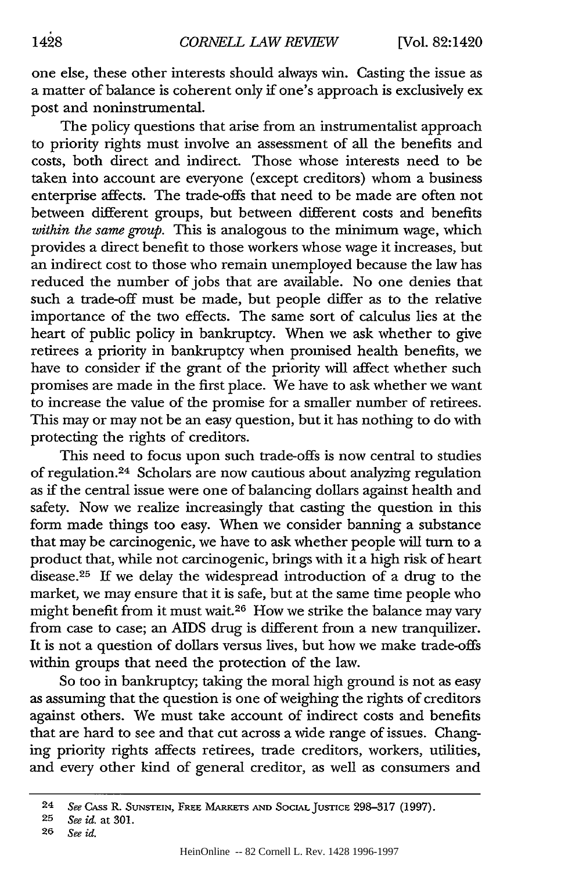one else, these other interests should always win. Casting the issue as a matter of balance is coherent only if one's approach is exclusively ex post and noninstrumental.

The policy questions that arise from an instrumentalist approach to priority rights must involve an assessment of all the benefits and costs, both direct and indirect. Those whose interests need to be taken into account are everyone (except creditors) whom a business enterprise affects. The trade-offs that need to be made are often not between different groups, but between different costs and benefits *within the same group.* This is analogous to the minimum wage, which provides a direct benefit to those workers whose wage it increases, but an indirect cost to those who remain unemployed because the law has reduced the number of jobs that are available. No one denies that such a trade-off must be made, but people differ as to the relative importance of the two effects. The same sort of calculus lies at the heart of public policy in bankruptcy. When we ask whether to give retirees a priority in bankruptcy when promised health benefits, we have to consider if the grant of the priority will affect whether such promises are made in the first place. We have to ask whether we want to increase the value of the promise for a smaller number of retirees. This may or may not be an easy question, but it has nothing to do with protecting the rights of creditors.

This need to focus upon such trade-offs is now central to studies of regulation.24 Scholars are now cautious about analyzing regulation as if the central issue were one of balancing dollars against health and safety. Now we realize increasingly that casting the question in this form made things too easy. When we consider banning a substance that may be carcinogenic, we have to ask whether people will turn to a product that, while not carcinogenic, brings with it a high risk of heart disease.<sup>25</sup> If we delay the widespread introduction of a drug to the market, we may ensure that it is safe, but at the same time people who might benefit from it must wait.26 How we strike the balance may vary from case to case; an AIDS drug is different from a new tranquilizer. It is not a question of dollars versus lives, but how we make trade-offs within groups that need the protection of the law.

So too in bankruptcy; taking the moral high ground is not as easy as assuming that the question is one of weighing the rights of creditors against others. We must take account of indirect costs and benefits that are hard to see and that cut across a wide range of issues. Changing priority rights affects retirees, trade creditors, workers, utilities, and every other kind of general creditor, as well as consumers and

<sup>24</sup> *See* CASS R. **SUNSTEIN,** FREE MARKETS **AND SOCIAL JUSTICE** 298-317 (1997).

**<sup>25</sup>** *See id.* at 301.

**<sup>26</sup>** *See id.*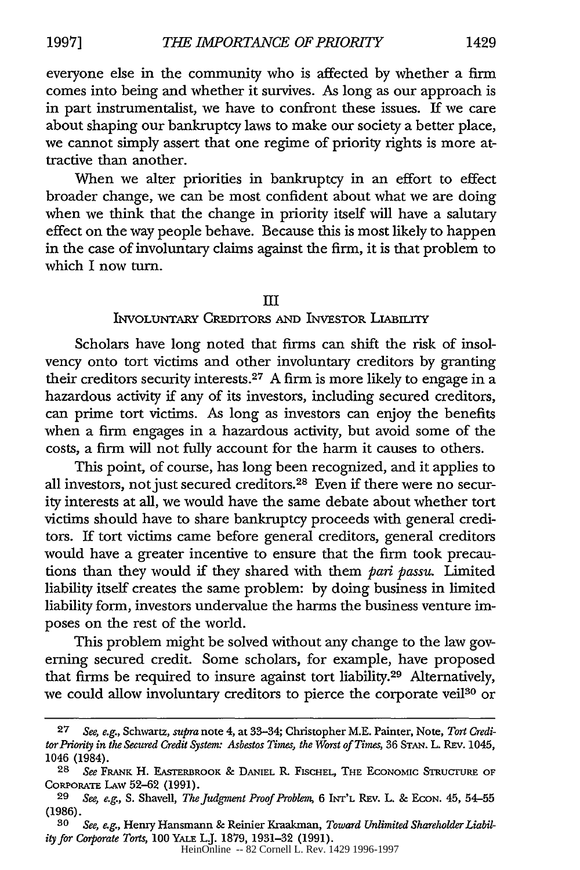everyone else in the community who is affected by whether a firm comes into being and whether it survives. As long as our approach is in part instrumentalist, we have to confront these issues. If we care about shaping our bankruptcy laws to make our society a better place, we cannot simply assert that one regime of priority rights is more attractive than another.

When we alter priorities in bankruptcy in an effort to effect broader change, we can be most confident about what we are doing when we think that the change in priority itself will have a salutary effect on the way people behave. Because this is most likely to happen in the case of involuntary claims against the firm, it is that problem to which I now turn.

#### III

## **INVOLUNTARY CREDITORS AND INVESTOR LIABILITY**

Scholars have long noted that firms can shift the risk of insolvency onto tort victims and other involuntary creditors by granting their creditors security interests. 27 A firm is more likely to engage in a hazardous activity if any of its investors, including secured creditors, can prime tort victims. As long as investors can enjoy the benefits when a firm engages in a hazardous activity, but avoid some of the costs, a firm will not fully account for the harm it causes to others.

This point, of course, has long been recognized, and it applies to all investors, not just secured creditors.28 Even if there were no security interests at all, we would have the same debate about whether tort victims should have to share bankruptcy proceeds with general creditors. If tort victims came before general creditors, general creditors would have a greater incentive to ensure that the firm took precautions than they would if they shared with them *pani passu.* Limited liability itself creates the same problem: by doing business in limited liability form, investors undervalue the harms the business venture imposes on the rest of the world.

This problem might be solved without any change to the law governing secured credit. Some scholars, for example, have proposed that firms be required to insure against tort liability.<sup>29</sup> Alternatively, we could allow involuntary creditors to pierce the corporate veil<sup>30</sup> or

**<sup>27</sup>** *See, e.g.,* Schwartz, *supra* note 4, at 33-34; Christopher M.E. Painter, Note, *Tort Creditor Priority in the Secured Credit System: Asbestos Times, the Worst of Times,* 36 **STAN.** L. **REv.** 1045, 1046 (1984).

**<sup>28</sup>** *See* FRANK H. **EASTERBROOK & DANIEL** R. FISCHEL, THE EcoNoMIc STRucruRE OF CORPORATE LAW 52-62 (1991).

**<sup>29</sup>** *See, e.g., S.* Shavell, *The Judgment Proof Problem,* **6** INT'L **REV.** L. **& ECON.** 45, **54-55** (1986).

*<sup>30</sup> See, e.g.,* Henry Hansmann **&** Reinier Kraaknan, *Toward Unlimited Shareholder Liability for Corporate Torts,* 100 YALE L.J. 1879, 1931-32 (1991).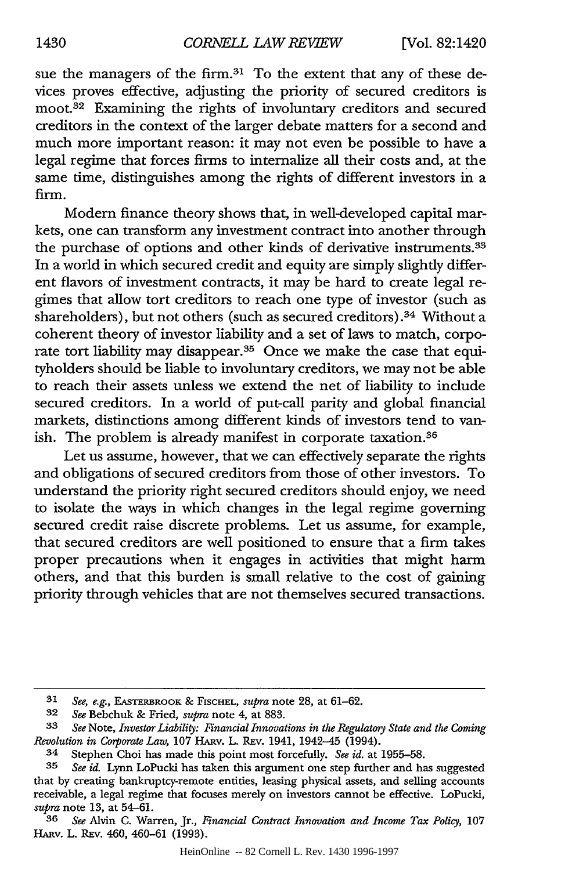sue the managers of the firm.<sup>31</sup> To the extent that any of these devices proves effective, adjusting the priority of secured creditors is moot.<sup>32</sup> Examining the rights of involuntary creditors and secured creditors in the context of the larger debate matters for a second and much more important reason: it may not even be possible to have a legal regime that forces firms to internalize all their costs and, at the same time, distinguishes among the rights of different investors in a firm.

Modem finance theory shows that, in well-developed capital markets, one can transform any investment contract into another through the purchase of options and other kinds of derivative instruments.<sup>33</sup> In a world in which secured credit and equity are simply slightly different flavors of investment contracts, it may be hard to create legal regimes that allow tort creditors to reach one type of investor (such as shareholders), but not others (such as secured creditors).<sup>34</sup> Without a coherent theory of investor liability and a set of laws to match, corporate tort liability may disappear.<sup>35</sup> Once we make the case that equityholders should be liable to involuntary creditors, we may not be able to reach their assets unless we extend the net of liability to include secured creditors. In a world of put-call parity and global financial markets, distinctions among different kinds of investors tend to vanish. The problem is already manifest in corporate taxation.<sup>36</sup>

Let us assume, however, that we can effectively separate the rights and obligations of secured creditors from those of other investors. To understand the priority right secured creditors should enjoy, we need to isolate the ways in which changes in the legal regime governing secured credit raise discrete problems. Let us assume, for example, that secured creditors are well positioned to ensure that a firm takes proper precautions when it engages in activities that might harm others, and that this burden is small relative to the cost of gaining priority through vehicles that are not themselves secured transactions.

*<sup>31</sup> See, e.g.,* EASTERBROOK & FISCHEL, *supra* note 28, at 61-62.

**<sup>32</sup>** *See* Bebchuk & Fried, *supra* note 4, at 883.

*<sup>33</sup> See* Note, *Investor Liability: Financial Innovations in the Regulatory State and the Coming Revolution in Corporate Law, 107 HARV. L. REV. 1941, 1942-45 (1994).* 

<sup>34</sup> Stephen Choi has made this point most forcefully. *See id.* at 1955-58.

*<sup>35</sup> See id.* Lynn LoPucki has taken this argument one step further and has suggested that by creating bankruptcy-remote entities, leasing physical assets, and selling accounts receivable, a legal regime that focuses merely on investors cannot be effective. LoPucki, *supra* note 13, at 54-61.

*<sup>36</sup> See* Alvin C. Warren, Jr., *Financial Contract Innovation and Income Tax Policy,* 107 HARv. L. REv. 460, 460-61 (1993).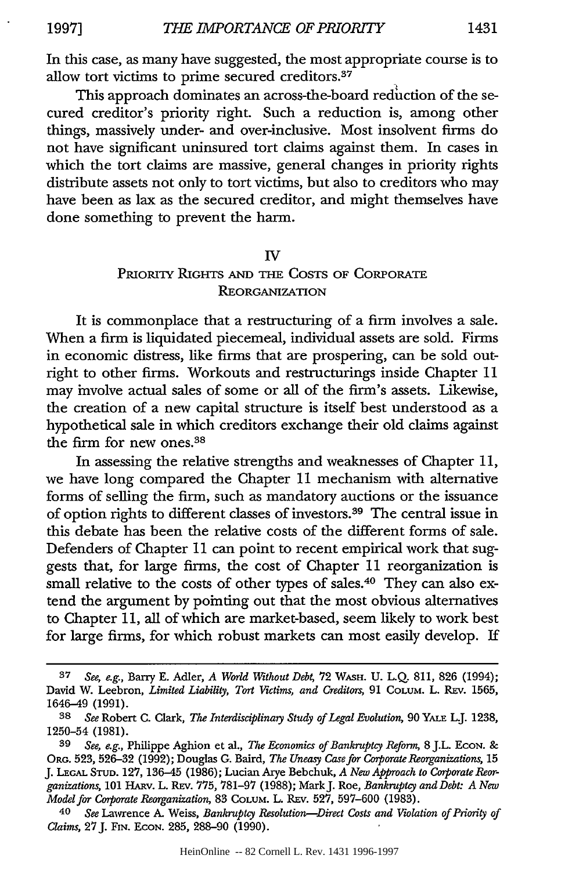In this case, as many have suggested, the most appropriate course is to allow tort victims to prime secured creditors.<sup>37</sup>

This approach dominates an across-the-board reduction of the secured creditor's priority right. Such a reduction is, among other things, massively under- and over-inclusive. Most insolvent firms do not have significant uninsured tort claims against them. In cases in which the tort claims are massive, general changes in priority rights distribute assets not only to tort victims, but also to creditors who may have been as lax as the secured creditor, and might themselves have done something to prevent the harm.

#### IV

## PRioRry RIGHTS AND THE COSTS OF CORPORATE REORGANIZATION

It is commonplace that a restructuring of a firm involves a sale. When a firm is liquidated piecemeal, individual assets are sold. Firms in economic distress, like firms that are prospering, can be sold outright to other firms. Workouts and restructurings inside Chapter **11** may involve actual sales of some or all of the firm's assets. Likewise, the creation of a new capital structure is itself best understood as a hypothetical sale in which creditors exchange their old claims against the firm for new ones.38

In assessing the relative strengths and weaknesses of Chapter 11, we have long compared the Chapter **11** mechanism with alternative forms of selling the firm, such as mandatory auctions or the issuance of option rights to different classes of investors. 39 The central issue in this debate has been the relative costs of the different forms of sale. Defenders of Chapter **11** can point to recent empirical work that suggests that, for large firms, the cost of Chapter **11** reorganization is small relative to the costs of other types of sales.<sup>40</sup> They can also extend the argument by pointing out that the most obvious alternatives to Chapter **11,** all of which are market-based, seem likely to work best for large firms, for which robust markets can most easily develop. If

**<sup>37</sup>** *See, e.g.,* Barry E. Adler, *A World Without Debt,* 72 WASH. U. L.Q. 811, 826 (1994); David W. Leebron, *Limited Liability, Tort Victims, and Creditors,* 91 COLuM. L. REv. 1565, 1646-49 (1991).

*<sup>38</sup> See* Robert C. Clark, *The Interdisciplinary Study of Legal Evolution,* 90 YAL L.J. 1238, 1250-54 (1981).

*<sup>39</sup> See, e.g.,* Philippe Aghion et al., *The Economics of Bankruptcy Reform,* 8 J.L. EcoN. & ORG. 523, 526-32 (1992); Douglas G. Baird, *The Uneasy Case for Corporate Reorganizations,* <sup>15</sup> J. **LEGAL** STUD. 127, 136-45 (1986); Lucian Arye Bebchuk, *A New Approach to Corporate Reorganizations,* 101 HAuv. L. **REv.** 775, 781-97 (1988); MarkJ. Roe, *Bankruptcy and Debt: A New Model for Corporate Reorganization,* 83 COLUM. L. REv. 527, 597-600 (1983).

<sup>40</sup> *See* Lawrence A. Weiss, *Bankruptcy Resolution-Direct Costs and Violation of Priority of Claims,* 27J. **FIN. ECON.** 285, 288-90 (1990).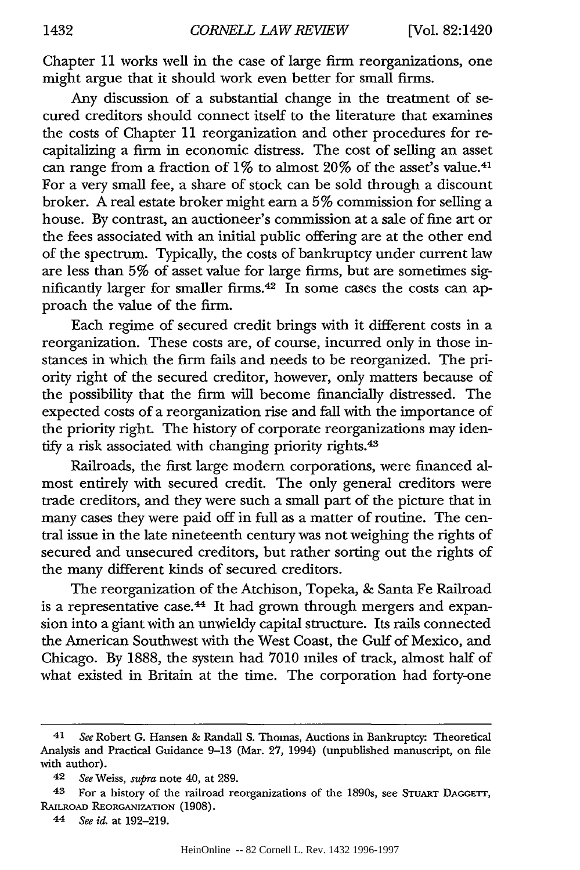Chapter 11 works well in the case of large firm reorganizations, one might argue that it should work even better for small firms.

Any discussion of a substantial change in the treatment of secured creditors should connect itself to the literature that examines the costs of Chapter **11** reorganization and other procedures for recapitalizing a firm in economic distress. The cost of selling an asset can range from a fraction of 1% to almost 20% of the asset's value.<sup>41</sup> For a very small fee, a share of stock can be sold through a discount broker. A real estate broker might earn a 5% commission for selling a house. By contrast, an auctioneer's commission at a sale of fine art or the fees associated with an initial public offering are at the other end of the spectrum. Typically, the costs of bankruptcy under current law are less than 5% of asset value for large firms, but are sometimes significantly larger for smaller firms. 42 In some cases the costs can approach the value of the firm.

Each regime of secured credit brings with it different costs in a reorganization. These costs are, of course, incurred only in those instances in which the firm fails and needs to be reorganized. The priority right of the secured creditor, however, only matters because of the possibility that the firm will become financially distressed. The expected costs of a reorganization rise and fall with the importance of the priority right. The history of corporate reorganizations may identify a risk associated with changing priority rights.<sup>43</sup>

Railroads, the first large modern corporations, were financed almost entirely with secured credit. The only general creditors were trade creditors, and they were such a small part of the picture that in many cases they were paid off in full as a matter of routine. The central issue in the late nineteenth century was not weighing the rights of secured and unsecured creditors, but rather sorting out the rights of the many different kinds of secured creditors.

The reorganization of the Atchison, Topeka, & Santa Fe Railroad is a representative case.<sup>44</sup> It had grown through mergers and expansion into a giant with an unwieldy capital structure. Its rails connected the American Southwest with the West Coast, the Gulf of Mexico, and Chicago. By 1888, the system had 7010 miles of track, almost half of what existed in Britain at the time. The corporation had forty-one

<sup>41</sup> *See* Robert G. Hansen & Randall S. Thomas, Auctions in Bankruptcy: Theoretical Analysis and Practical Guidance 9-13 (Mar. 27, 1994) (unpublished manuscript, on file with author).

<sup>42</sup> *See* Weiss, *supra* note 40, at 289.

**<sup>43</sup>** For a history of the railroad reorganizations of the 1890s, see STuART DAGrrr, RAILROAD REORGANIZATION (1908).

<sup>44</sup> *See id.* at 192-219.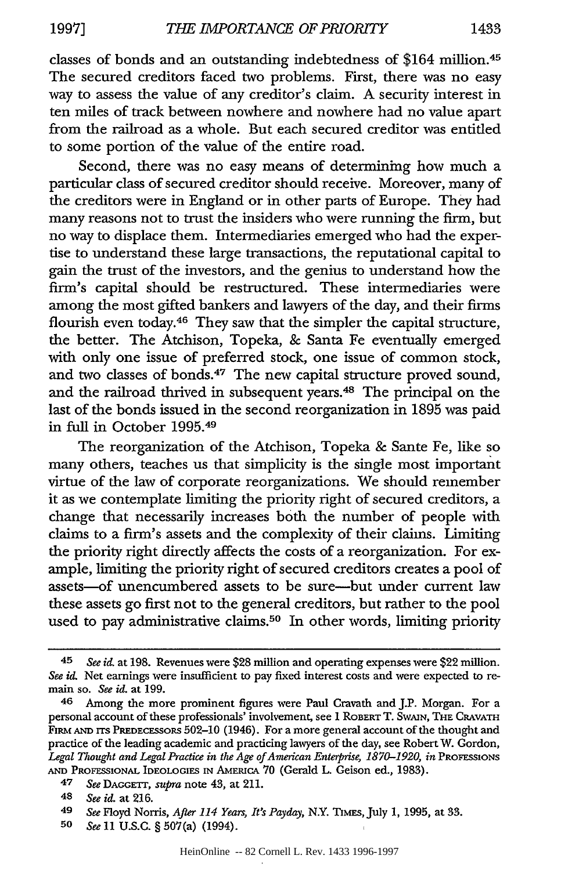classes of bonds and an outstanding indebtedness of \$164 million. <sup>45</sup> The secured creditors faced two problems. First, there was no easy

way to assess the value of any creditor's claim. A security interest in ten miles of track between nowhere and nowhere had no value apart from the railroad as a whole. But each secured creditor was entitled to some portion of the value of the entire road.

Second, there was no easy means of determining how much a particular class of secured creditor should receive. Moreover, many of the creditors were in England or in other parts of Europe. They had many reasons not to trust the insiders who were running the firm, but no way to displace them. Intermediaries emerged who had the expertise to understand these large transactions, the reputational capital to gain the trust of the investors, and the genius to understand how the firm's capital should be restructured. These intermediaries were among the most gifted bankers and lawyers of the day, and their firms flourish even today.46 They saw that the simpler the capital structure, the better. The Atchison, Topeka, & Santa Fe eventually emerged with only one issue of preferred stock, one issue of common stock, and two classes of bonds.47 The new capital structure proved sound, and the railroad thrived in subsequent years.48 The principal on the last of the bonds issued in the second reorganization in 1895 was paid in full in October 1995. <sup>49</sup>

The reorganization of the Atchison, Topeka & Sante Fe, like so many others, teaches us that simplicity is the single most important virtue of the law of corporate reorganizations. We should remember it as we contemplate limiting the priority right of secured creditors, a change that necessarily increases both the number of people with claims to a firm's assets and the complexity of their claims. Limiting the priority right directly affects the costs of a reorganization. For example, limiting the priority right of secured creditors creates a pool of assets-of unencumbered assets to be sure-but under current law these assets go first not to the general creditors, but rather to the pool used to pay administrative claims.<sup>50</sup> In other words, limiting priority

47 *See* DACGETr, *supra* note 43, at 211.

**50** *See* 11 U.S.G. § 507(a) (1994).

<sup>45</sup> *See id.* at 198. Revenues were \$28 million and operating expenses were \$22 million. *See id,* Net earnings were insufficient to pay fixed interest costs and were expected to remain so. *See id.* at 199.

<sup>46</sup> Among the more prominent figures were Paul Cravath and J.P. Morgan. For a personal account of these professionals' involvement, see 1 ROBERT T. SWAIN, **THE** CRAVATH FIRm **AND** rrs PREDECESSORS 502-10 (1946). For a more general account of the thought and practice of the leading academic and practicing lawyers of the day, see Robert W. Gordon, Legal Thought and Legal Practice in the Age of American Enterprise, 1870-1920, in PROFESSIONS **AND** PROFESSIONAL IDEOLOGIES IN AMERICA 70 (Gerald L. Geison ed., 1983).

<sup>48</sup> *See id.* at 216.

*<sup>49</sup> See* Floyd Norris, *After 114 Years, It's Payday,* N.Y. TiMES, July **1,** 1995, at 33.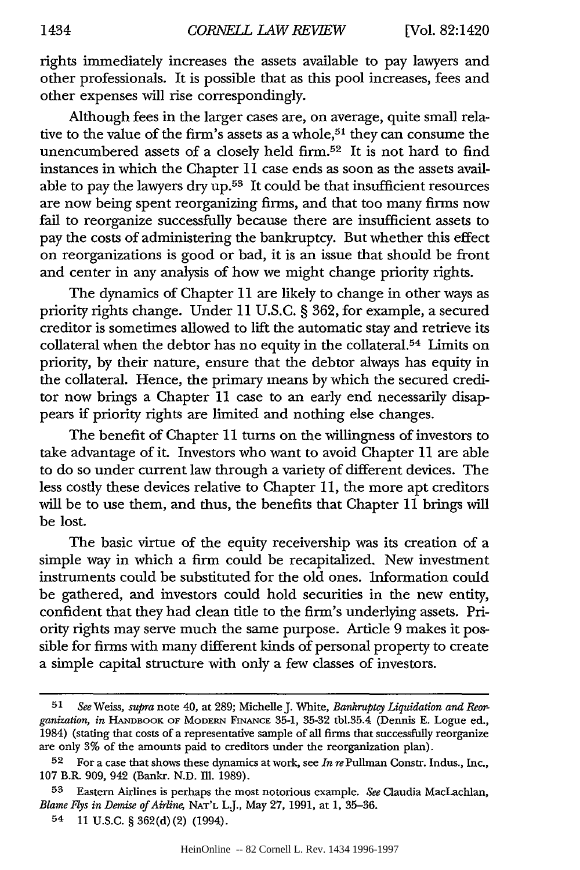rights immediately increases the assets available to pay lawyers and other professionals. It is possible that as this pool increases, fees and other expenses will rise correspondingly.

Although fees in the larger cases are, on average, quite small relative to the value of the firm's assets as a whole,<sup>51</sup> they can consume the unencumbered assets of a closely held firm. 52 It is not hard to find instances in which the Chapter 11 case ends as soon as the assets available to pay the lawyers dry  $up.53$  It could be that insufficient resources are now being spent reorganizing firms, and that too many firms now fail to reorganize successfully because there are insufficient assets to pay the costs of administering the bankruptcy. But whether this effect on reorganizations is good or bad, it is an issue that should be front and center in any analysis of how we might change priority rights.

The dynamics of Chapter 11 are likely to change in other ways as priority rights change. Under 11 U.S.C. § 362, for example, a secured creditor is sometimes allowed to lift the automatic stay and retrieve its collateral when the debtor has no equity in the collateral.<sup>54</sup> Limits on priority, **by** their nature, ensure that the debtor always has equity in the collateral. Hence, the primary means by which the secured creditor now brings a Chapter 11 case to an early end necessarily disappears if priority rights are limited and nothing else changes.

The benefit of Chapter 11 turns on the willingness of investors to take advantage of it. Investors who want to avoid Chapter 11 are able to do so under current law through a variety of different devices. The less costly these devices relative to Chapter 11, the more apt creditors will be to use them, and thus, the benefits that Chapter 11 brings will be lost.

The basic virtue of the equity receivership was its creation of a simple way in which a firm could be recapitalized. New investment instruments could be substituted for the old ones. Information could be gathered, and investors could hold securities in the new entity, confident that they had clean title to the firm's underlying assets. Priority rights may serve much the same purpose. Article 9 makes it possible for firms with many different kinds of personal property to create a simple capital structure with only a few classes of investors.

*<sup>51</sup> See* Weiss, *supra* note 40, at 289; Michelle J. White, *Bankruptcy Liquidation and Reorganization, in* HANDBOOK OF MODERN FINANCE 35-1, **35-32** tbl.35.4 (Dennis **E.** Logue ed., 1984) (stating that costs of a representative sample of all firms that successfully reorganize are only **3%** of the amounts paid to creditors under the reorganization plan).

<sup>52</sup> For a case that shows these dynamics at work, see *In re* Pullman Constr. Indus., Inc., **107** B.R. 909, 942 (Bankr. **N.D. Ill.** 1989).

**<sup>53</sup>** Eastern Airlines is perhaps the most notorious example. *See* Claudia MacLachlan, *Blame J3ys in Demise of Airline,* **NAT'L** L.J., May **27,** 1991, at 1, 35-36.

<sup>54</sup> **11** U.S.C. § 362(d) (2) (1994).